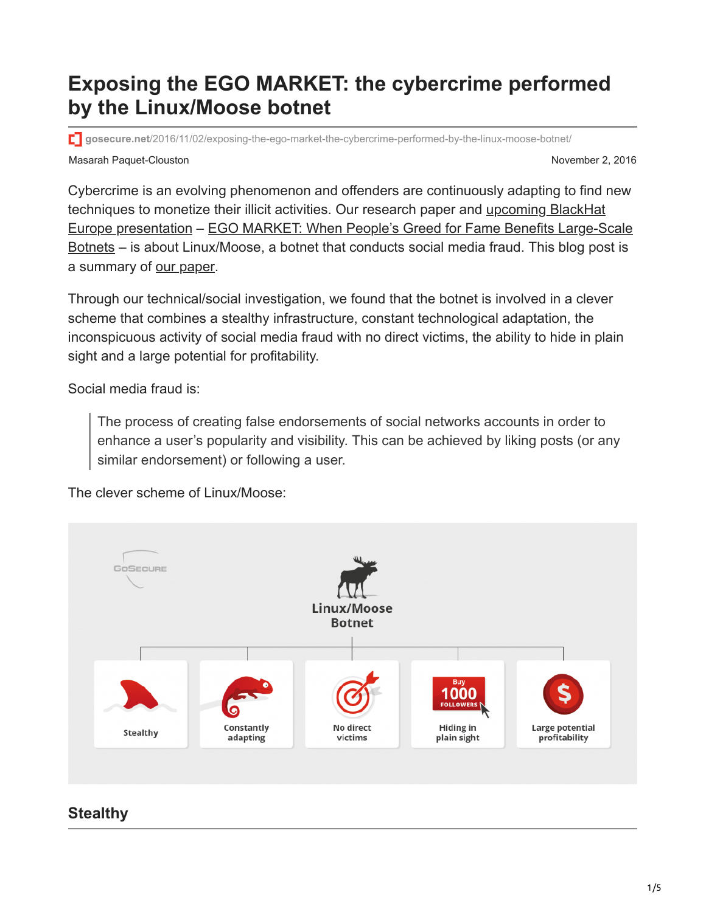# **Exposing the EGO MARKET: the cybercrime performed by the Linux/Moose botnet**

**gosecure.net**[/2016/11/02/exposing-the-ego-market-the-cybercrime-performed-by-the-linux-moose-botnet/](http://gosecure.net/2016/11/02/exposing-the-ego-market-the-cybercrime-performed-by-the-linux-moose-botnet/)

Masarah Paquet-Clouston November 2, 2016

Cybercrime is an evolving phenomenon and offenders are continuously adapting to find new [techniques to monetize their illicit activities. Our research paper and upcoming BlackHat](https://www.blackhat.com/eu-16/briefings.html#olivier-bilodeau) [Europe presentation – EGO MARKET: When People's Greed for Fame Benefits Large-Scale](http://gosecure.net/wp-content/uploads/2016/11/Ego-Market_When-Greed-for-Fame-Benefits-Large-Scale-Botnets.pdf) Botnets – is about Linux/Moose, a botnet that conducts social media fraud. This blog post is a summary of [our paper.](http://gosecure.net/wp-content/uploads/2016/11/Ego-Market_When-Greed-for-Fame-Benefits-Large-Scale-Botnets.pdf)

Through our technical/social investigation, we found that the botnet is involved in a clever scheme that combines a stealthy infrastructure, constant technological adaptation, the inconspicuous activity of social media fraud with no direct victims, the ability to hide in plain sight and a large potential for profitability.

Social media fraud is:

The process of creating false endorsements of social networks accounts in order to enhance a user's popularity and visibility. This can be achieved by liking posts (or any similar endorsement) or following a user.

The clever scheme of Linux/Moose:



# **Stealthy**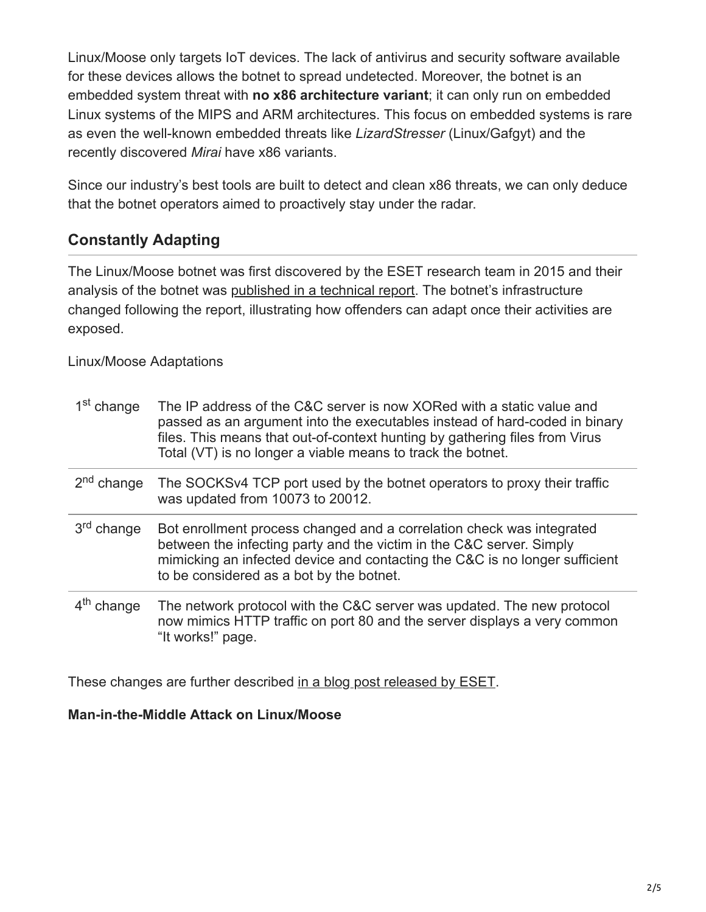Linux/Moose only targets IoT devices. The lack of antivirus and security software available for these devices allows the botnet to spread undetected. Moreover, the botnet is an embedded system threat with **no x86 architecture variant**; it can only run on embedded Linux systems of the MIPS and ARM architectures. This focus on embedded systems is rare as even the well-known embedded threats like *LizardStresser* (Linux/Gafgyt) and the recently discovered *Mirai* have x86 variants.

Since our industry's best tools are built to detect and clean x86 threats, we can only deduce that the botnet operators aimed to proactively stay under the radar.

### **Constantly Adapting**

The Linux/Moose botnet was first discovered by the ESET research team in 2015 and their analysis of the botnet was [published in a technical report.](http://www.welivesecurity.com/wp-content/uploads/2015/05/Dissecting-LinuxMoose.pdf) The botnet's infrastructure changed following the report, illustrating how offenders can adapt once their activities are exposed.

Linux/Moose Adaptations

| 1 <sup>st</sup> change | The IP address of the C&C server is now XORed with a static value and<br>passed as an argument into the executables instead of hard-coded in binary<br>files. This means that out-of-context hunting by gathering files from Virus<br>Total (VT) is no longer a viable means to track the botnet. |
|------------------------|---------------------------------------------------------------------------------------------------------------------------------------------------------------------------------------------------------------------------------------------------------------------------------------------------|
| 2 <sup>nd</sup> change | The SOCKSv4 TCP port used by the botnet operators to proxy their traffic<br>was updated from 10073 to 20012.                                                                                                                                                                                      |
| 3 <sup>rd</sup> change | Bot enrollment process changed and a correlation check was integrated<br>between the infecting party and the victim in the C&C server. Simply<br>mimicking an infected device and contacting the C&C is no longer sufficient<br>to be considered as a bot by the botnet.                          |
| $4th$ change           | The network protocol with the C&C server was updated. The new protocol<br>now mimics HTTP traffic on port 80 and the server displays a very common<br>"It works!" page.                                                                                                                           |

These changes are further described [in a blog post released by ESET.](http://www.welivesecurity.com/2016/11/02/linuxmoose-still-breathing/)

#### **Man-in-the-Middle Attack on Linux/Moose**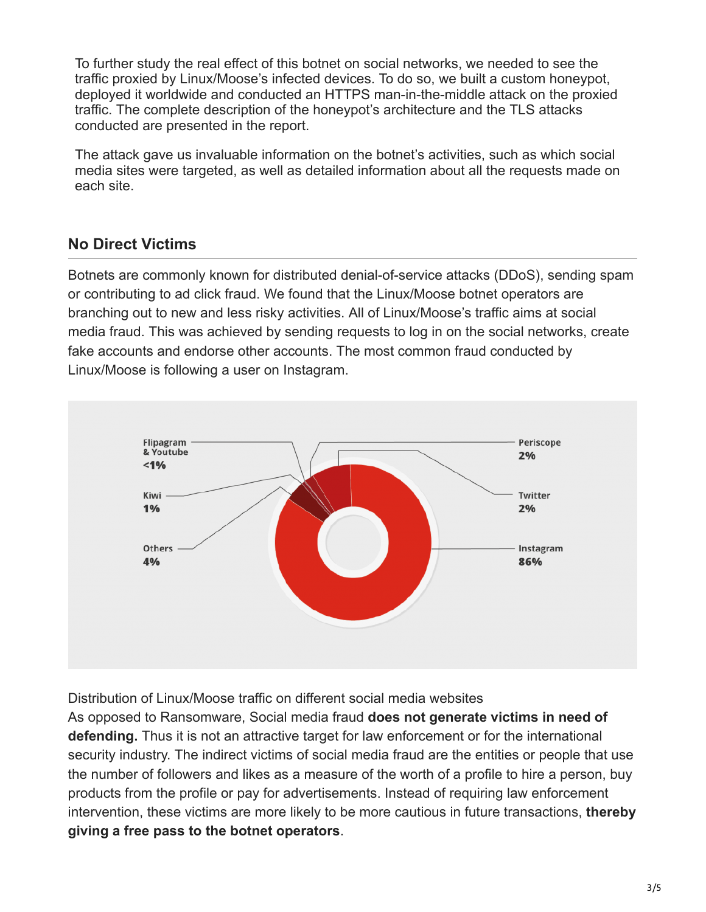To further study the real effect of this botnet on social networks, we needed to see the traffic proxied by Linux/Moose's infected devices. To do so, we built a custom honeypot, deployed it worldwide and conducted an HTTPS man-in-the-middle attack on the proxied traffic. The complete description of the honeypot's architecture and the TLS attacks conducted are presented in the report.

The attack gave us invaluable information on the botnet's activities, such as which social media sites were targeted, as well as detailed information about all the requests made on each site.

### **No Direct Victims**

Botnets are commonly known for distributed denial-of-service attacks (DDoS), sending spam or contributing to ad click fraud. We found that the Linux/Moose botnet operators are branching out to new and less risky activities. All of Linux/Moose's traffic aims at social media fraud. This was achieved by sending requests to log in on the social networks, create fake accounts and endorse other accounts. The most common fraud conducted by Linux/Moose is following a user on Instagram.



Distribution of Linux/Moose traffic on different social media websites

As opposed to Ransomware, Social media fraud **does not generate victims in need of defending.** Thus it is not an attractive target for law enforcement or for the international security industry. The indirect victims of social media fraud are the entities or people that use the number of followers and likes as a measure of the worth of a profile to hire a person, buy products from the profile or pay for advertisements. Instead of requiring law enforcement intervention, these victims are more likely to be more cautious in future transactions, **thereby giving a free pass to the botnet operators**.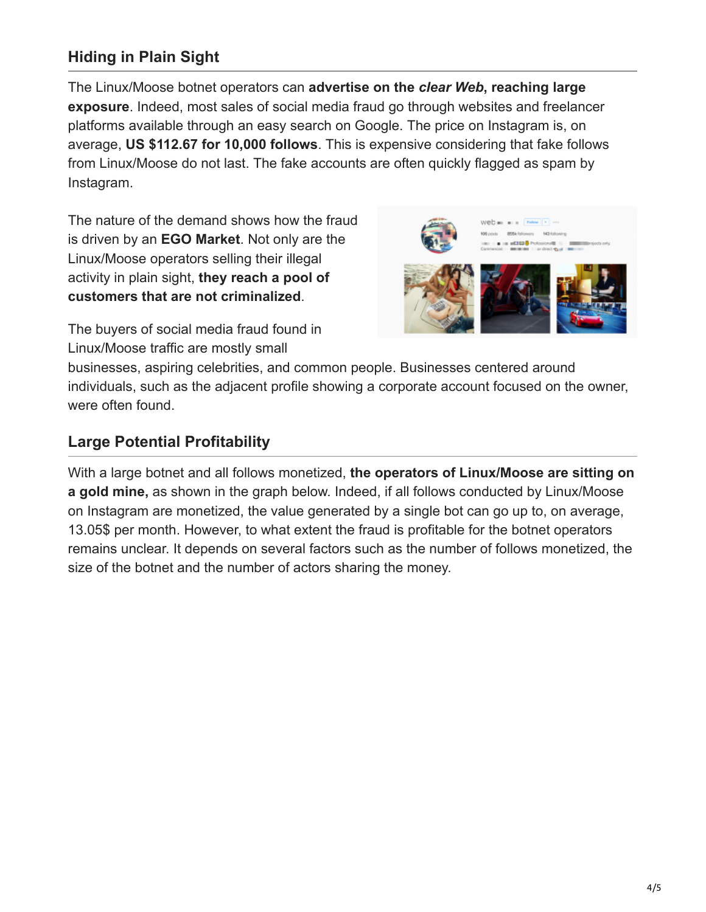# **Hiding in Plain Sight**

The Linux/Moose botnet operators can **advertise on the** *clear Web***, reaching large exposure**. Indeed, most sales of social media fraud go through websites and freelancer platforms available through an easy search on Google. The price on Instagram is, on average, **US \$112.67 for 10,000 follows**. This is expensive considering that fake follows from Linux/Moose do not last. The fake accounts are often quickly flagged as spam by Instagram.

The nature of the demand shows how the fraud is driven by an **EGO Market**. Not only are the Linux/Moose operators selling their illegal activity in plain sight, **they reach a pool of customers that are not criminalized**.



The buyers of social media fraud found in Linux/Moose traffic are mostly small

businesses, aspiring celebrities, and common people. Businesses centered around individuals, such as the adjacent profile showing a corporate account focused on the owner, were often found.

## **Large Potential Profitability**

With a large botnet and all follows monetized, **the operators of Linux/Moose are sitting on a gold mine,** as shown in the graph below. Indeed, if all follows conducted by Linux/Moose on Instagram are monetized, the value generated by a single bot can go up to, on average, 13.05\$ per month. However, to what extent the fraud is profitable for the botnet operators remains unclear. It depends on several factors such as the number of follows monetized, the size of the botnet and the number of actors sharing the money.